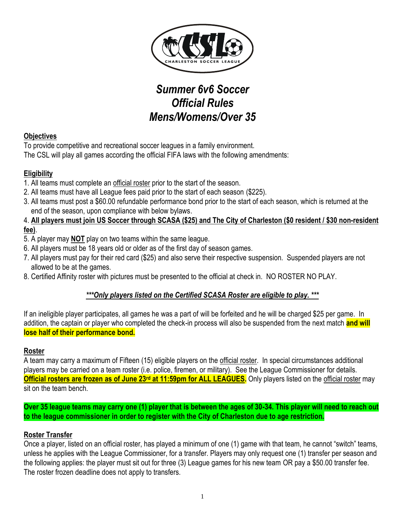

# *Summer 6v6 Soccer Official Rules Mens/Womens/Over 35*

#### **Objectives**

To provide competitive and recreational soccer leagues in a family environment. The CSL will play all games according the official FIFA laws with the following amendments:

## **Eligibility**

- 1. All teams must complete an official roster prior to the start of the season.
- 2. All teams must have all League fees paid prior to the start of each season (\$225).
- 3. All teams must post a \$60.00 refundable performance bond prior to the start of each season, which is returned at the end of the season, upon compliance with below bylaws.

#### 4. **All players must join US Soccer through SCASA (\$25) and The City of Charleston (\$0 resident / \$30 non-resident fee)**.

- 5. A player may **NOT** play on two teams within the same league.
- 6. All players must be 18 years old or older as of the first day of season games.
- 7. All players must pay for their red card (\$25) and also serve their respective suspension. Suspended players are not allowed to be at the games.
- 8. Certified Affinity roster with pictures must be presented to the official at check in. NO ROSTER NO PLAY.

# *\*\*\*Only players listed on the Certified SCASA Roster are eligible to play. \*\*\**

If an ineligible player participates, all games he was a part of will be forfeited and he will be charged \$25 per game. In addition, the captain or player who completed the check-in process will also be suspended from the next match **and will lose half of their performance bond.**

#### **Roster**

A team may carry a maximum of Fifteen (15) eligible players on the official roster. In special circumstances additional players may be carried on a team roster (i.e. police, firemen, or military). See the League Commissioner for details. **Official rosters are frozen as of June 23rd at 11:59pm for ALL LEAGUES.** Only players listed on the official roster may sit on the team bench.

**Over 35 league teams may carry one (1) player that is between the ages of 30-34. This player will need to reach out to the league commissioner in order to register with the City of Charleston due to age restriction.**

#### **Roster Transfer**

Once a player, listed on an official roster, has played a minimum of one (1) game with that team, he cannot "switch" teams, unless he applies with the League Commissioner, for a transfer. Players may only request one (1) transfer per season and the following applies: the player must sit out for three (3) League games for his new team OR pay a \$50.00 transfer fee. The roster frozen deadline does not apply to transfers.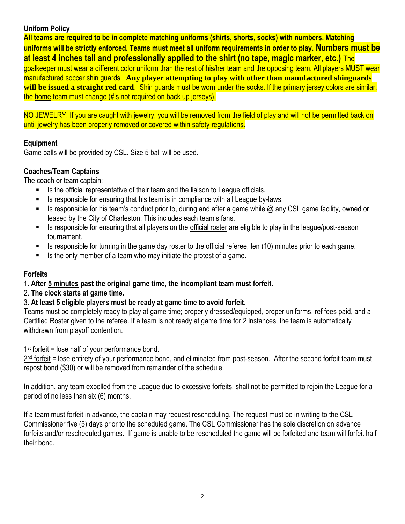#### **Uniform Policy**

**All teams are required to be in complete matching uniforms (shirts, shorts, socks) with numbers. Matching uniforms will be strictly enforced. Teams must meet all uniform requirements in order to play. Numbers must be at least 4 inches tall and professionally applied to the shirt (no tape, magic marker, etc.)** The

goalkeeper must wear a different color uniform than the rest of his/her team and the opposing team. All players MUST wear manufactured soccer shin guards. **Any player attempting to play with other than manufactured shinguards will be issued a straight red card**. Shin guards must be worn under the socks. If the primary jersey colors are similar, the home team must change (#'s not required on back up jerseys).

NO JEWELRY. If you are caught with jewelry, you will be removed from the field of play and will not be permitted back on until jewelry has been properly removed or covered within safety regulations.

#### **Equipment**

Game balls will be provided by CSL. Size 5 ball will be used.

#### **Coaches/Team Captains**

The coach or team captain:

- Is the official representative of their team and the liaison to League officials.
- Is responsible for ensuring that his team is in compliance with all League by-laws.
- Is responsible for his team's conduct prior to, during and after a game while  $\omega$  any CSL game facility, owned or leased by the City of Charleston. This includes each team's fans.
- Is responsible for ensuring that all players on the official roster are eligible to play in the league/post-season tournament.
- Is responsible for turning in the game day roster to the official referee, ten (10) minutes prior to each game.
- Is the only member of a team who may initiate the protest of a game.

#### **Forfeits**

#### 1. **After 5 minutes past the original game time, the incompliant team must forfeit.**

#### 2. **The clock starts at game time.**

#### 3. **At least 5 eligible players must be ready at game time to avoid forfeit.**

Teams must be completely ready to play at game time; properly dressed/equipped, proper uniforms, ref fees paid, and a Certified Roster given to the referee. If a team is not ready at game time for 2 instances, the team is automatically withdrawn from playoff contention.

 $1<sup>st</sup>$  forfeit = lose half of your performance bond.

2<sup>nd</sup> forfeit = lose entirety of your performance bond, and eliminated from post-season. After the second forfeit team must repost bond (\$30) or will be removed from remainder of the schedule.

In addition, any team expelled from the League due to excessive forfeits, shall not be permitted to rejoin the League for a period of no less than six (6) months.

If a team must forfeit in advance, the captain may request rescheduling. The request must be in writing to the CSL Commissioner five (5) days prior to the scheduled game. The CSL Commissioner has the sole discretion on advance forfeits and/or rescheduled games. If game is unable to be rescheduled the game will be forfeited and team will forfeit half their bond.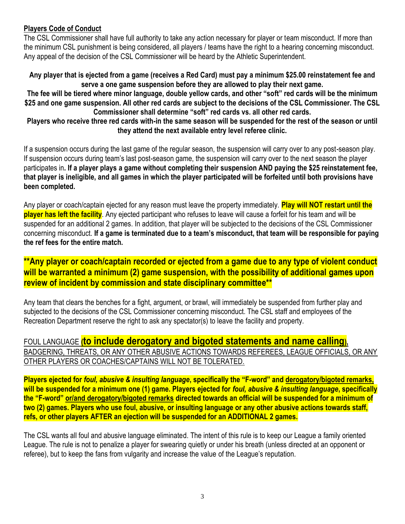#### **Players Code of Conduct**

The CSL Commissioner shall have full authority to take any action necessary for player or team misconduct. If more than the minimum CSL punishment is being considered, all players / teams have the right to a hearing concerning misconduct. Any appeal of the decision of the CSL Commissioner will be heard by the Athletic Superintendent.

**Any player that is ejected from a game (receives a Red Card) must pay a minimum \$25.00 reinstatement fee and serve a one game suspension before they are allowed to play their next game.**

**The fee will be tiered where minor language, double yellow cards, and other "soft" red cards will be the minimum \$25 and one game suspension. All other red cards are subject to the decisions of the CSL Commissioner. The CSL Commissioner shall determine "soft" red cards vs. all other red cards.**

**Players who receive three red cards with-in the same season will be suspended for the rest of the season or until they attend the next available entry level referee clinic.**

If a suspension occurs during the last game of the regular season, the suspension will carry over to any post-season play. If suspension occurs during team's last post-season game, the suspension will carry over to the next season the player participates in**. If a player plays a game without completing their suspension AND paying the \$25 reinstatement fee, that player is ineligible, and all games in which the player participated will be forfeited until both provisions have been completed.** 

Any player or coach/captain ejected for any reason must leave the property immediately. **Play will NOT restart until the player has left the facility**. Any ejected participant who refuses to leave will cause a forfeit for his team and will be suspended for an additional 2 games. In addition, that player will be subjected to the decisions of the CSL Commissioner concerning misconduct. **If a game is terminated due to a team's misconduct, that team will be responsible for paying the ref fees for the entire match.**

## **\*\*Any player or coach/captain recorded or ejected from a game due to any type of violent conduct will be warranted a minimum (2) game suspension, with the possibility of additional games upon review of incident by commission and state disciplinary committee\*\***

Any team that clears the benches for a fight, argument, or brawl, will immediately be suspended from further play and subjected to the decisions of the CSL Commissioner concerning misconduct. The CSL staff and employees of the Recreation Department reserve the right to ask any spectator(s) to leave the facility and property.

# FOUL LANGUAGE **(to include derogatory and bigoted statements and name calling),** BADGERING, THREATS, OR ANY OTHER ABUSIVE ACTIONS TOWARDS REFEREES, LEAGUE OFFICIALS, OR ANY OTHER PLAYERS OR COACHES/CAPTAINS WILL NOT BE TOLERATED.

**Players ejected for** *foul, abusive & insulting language***, specifically the "F-word" and derogatory/bigoted remarks, will be suspended for a minimum one (1) game. Players ejected for** *foul, abusive & insulting language***, specifically the "F-word" or/and derogatory/bigoted remarks directed towards an official will be suspended for a minimum of two (2) games. Players who use foul, abusive, or insulting language or any other abusive actions towards staff, refs, or other players AFTER an ejection will be suspended for an ADDITIONAL 2 games.**

The CSL wants all foul and abusive language eliminated. The intent of this rule is to keep our League a family oriented League. The rule is not to penalize a player for swearing quietly or under his breath (unless directed at an opponent or referee), but to keep the fans from vulgarity and increase the value of the League's reputation.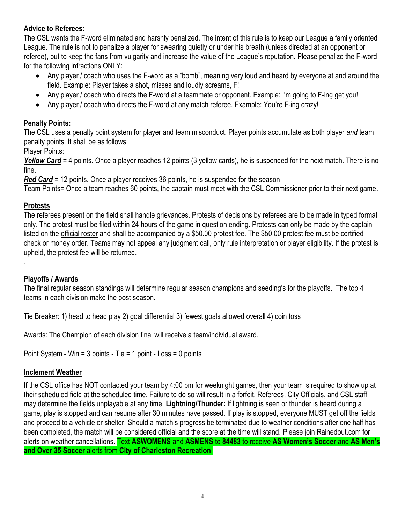### **Advice to Referees:**

The CSL wants the F-word eliminated and harshly penalized. The intent of this rule is to keep our League a family oriented League. The rule is not to penalize a player for swearing quietly or under his breath (unless directed at an opponent or referee), but to keep the fans from vulgarity and increase the value of the League's reputation. Please penalize the F-word for the following infractions ONLY:

- Any player / coach who uses the F-word as a "bomb", meaning very loud and heard by everyone at and around the field. Example: Player takes a shot, misses and loudly screams, F!
- Any player / coach who directs the F-word at a teammate or opponent. Example: I'm going to F-ing get you!
- Any player / coach who directs the F-word at any match referee. Example: You're F-ing crazy!

## **Penalty Points:**

The CSL uses a penalty point system for player and team misconduct. Player points accumulate as both player *and* team penalty points. It shall be as follows:

Player Points:

**Yellow Card** = 4 points. Once a player reaches 12 points (3 yellow cards), he is suspended for the next match. There is no fine.

*Red Card* = 12 points. Once a player receives 36 points, he is suspended for the season

Team Points= Once a team reaches 60 points, the captain must meet with the CSL Commissioner prior to their next game.

#### **Protests**

.

The referees present on the field shall handle grievances. Protests of decisions by referees are to be made in typed format only. The protest must be filed within 24 hours of the game in question ending. Protests can only be made by the captain listed on the official roster and shall be accompanied by a \$50.00 protest fee. The \$50.00 protest fee must be certified check or money order. Teams may not appeal any judgment call, only rule interpretation or player eligibility. If the protest is upheld, the protest fee will be returned.

# **Playoffs / Awards**

The final regular season standings will determine regular season champions and seeding's for the playoffs. The top 4 teams in each division make the post season.

Tie Breaker: 1) head to head play 2) goal differential 3) fewest goals allowed overall 4) coin toss

Awards: The Champion of each division final will receive a team/individual award.

Point System - Win = 3 points - Tie = 1 point - Loss = 0 points

# **Inclement Weather**

If the CSL office has NOT contacted your team by 4:00 pm for weeknight games, then your team is required to show up at their scheduled field at the scheduled time. Failure to do so will result in a forfeit. Referees, City Officials, and CSL staff may determine the fields unplayable at any time. **Lightning/Thunder:** If lightning is seen or thunder is heard during a game, play is stopped and can resume after 30 minutes have passed. If play is stopped, everyone MUST get off the fields and proceed to a vehicle or shelter. Should a match's progress be terminated due to weather conditions after one half has been completed, the match will be considered official and the score at the time will stand. Please join Rainedout.com for alerts on weather cancellations. Text **ASWOMENS** and **ASMENS** to **84483** to receive **AS Women's Soccer** and **AS Men's and Over 35 Soccer** alerts from **City of Charleston Recreation**.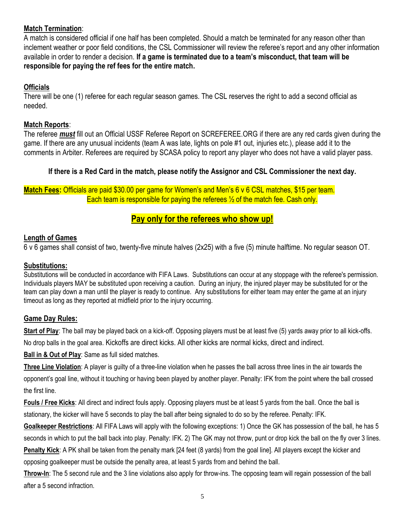### **Match Termination**:

A match is considered official if one half has been completed. Should a match be terminated for any reason other than inclement weather or poor field conditions, the CSL Commissioner will review the referee's report and any other information available in order to render a decision. **If a game is terminated due to a team's misconduct, that team will be responsible for paying the ref fees for the entire match.**

### **Officials**

There will be one (1) referee for each regular season games. The CSL reserves the right to add a second official as needed.

#### **Match Reports**:

The referee *must* fill out an Official USSF Referee Report on SCREFEREE.ORG if there are any red cards given during the game. If there are any unusual incidents (team A was late, lights on pole #1 out, injuries etc.), please add it to the comments in Arbiter. Referees are required by SCASA policy to report any player who does not have a valid player pass.

#### **If there is a Red Card in the match, please notify the Assignor and CSL Commissioner the next day.**

**Match Fees:** Officials are paid \$30.00 per game for Women's and Men's 6 v 6 CSL matches, \$15 per team. Each team is responsible for paying the referees ½ of the match fee. Cash only.

## **Pay only for the referees who show up!**

#### **Length of Games**

6 v 6 games shall consist of two, twenty-five minute halves (2x25) with a five (5) minute halftime. No regular season OT.

#### **Substitutions:**

Substitutions will be conducted in accordance with FIFA Laws. Substitutions can occur at any stoppage with the referee's permission. Individuals players MAY be substituted upon receiving a caution. During an injury, the injured player may be substituted for or the team can play down a man until the player is ready to continue. Any substitutions for either team may enter the game at an injury timeout as long as they reported at midfield prior to the injury occurring.

#### **Game Day Rules:**

**Start of Play**: The ball may be played back on a kick-off. Opposing players must be at least five (5) yards away prior to all kick-offs. No drop balls in the goal area. Kickoffs are direct kicks. All other kicks are normal kicks, direct and indirect.

**Ball in & Out of Play**: Same as full sided matches.

**Three Line Violation**: A player is guilty of a three-line violation when he passes the ball across three lines in the air towards the opponent's goal line, without it touching or having been played by another player. Penalty: IFK from the point where the ball crossed the first line.

**Fouls / Free Kicks**: All direct and indirect fouls apply. Opposing players must be at least 5 yards from the ball. Once the ball is stationary, the kicker will have 5 seconds to play the ball after being signaled to do so by the referee. Penalty: IFK.

**Goalkeeper Restrictions**: All FIFA Laws will apply with the following exceptions: 1) Once the GK has possession of the ball, he has 5 seconds in which to put the ball back into play. Penalty: IFK. 2) The GK may not throw, punt or drop kick the ball on the fly over 3 lines. **Penalty Kick**: A PK shall be taken from the penalty mark [24 feet (8 yards) from the goal line]. All players except the kicker and opposing goalkeeper must be outside the penalty area, at least 5 yards from and behind the ball.

**Throw-In**: The 5 second rule and the 3 line violations also apply for throw-ins. The opposing team will regain possession of the ball after a 5 second infraction.